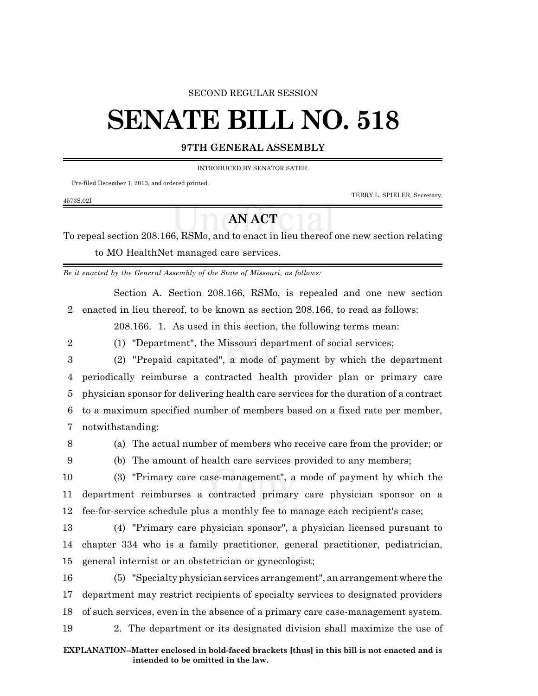#### SECOND REGULAR SESSION

# **SENATE BILL NO. 518**

### **97TH GENERAL ASSEMBLY**

#### INTRODUCED BY SENATOR SATER.

Pre-filed December 1, 2013, and ordered printed.

TERRY L. SPIELER, Secretary.

## **AN ACT**

To repeal section 208.166, RSMo, and to enact in lieu thereof one new section relating to MO HealthNet managed care services.

*Be it enacted by the General Assembly of the State of Missouri, as follows:*

Section A. Section 208.166, RSMo, is repealed and one new section 2 enacted in lieu thereof, to be known as section 208.166, to read as follows:

208.166. 1. As used in this section, the following terms mean:

- -

4573S.02I

2 (1) "Department", the Missouri department of social services;

 (2) "Prepaid capitated", a mode of payment by which the department periodically reimburse a contracted health provider plan or primary care physician sponsor for delivering health care services for the duration of a contract to a maximum specified number of members based on a fixed rate per member, notwithstanding:

8 (a) The actual number of members who receive care from the provider; or

9 (b) The amount of health care services provided to any members;

10 (3) "Primary care case-management", a mode of payment by which the 11 department reimburses a contracted primary care physician sponsor on a 12 fee-for-service schedule plus a monthly fee to manage each recipient's case;

13 (4) "Primary care physician sponsor", a physician licensed pursuant to 14 chapter 334 who is a family practitioner, general practitioner, pediatrician, 15 general internist or an obstetrician or gynecologist;

 (5) "Specialty physician services arrangement", an arrangement where the department may restrict recipients of specialty services to designated providers of such services, even in the absence of a primary care case-management system. 2. The department or its designated division shall maximize the use of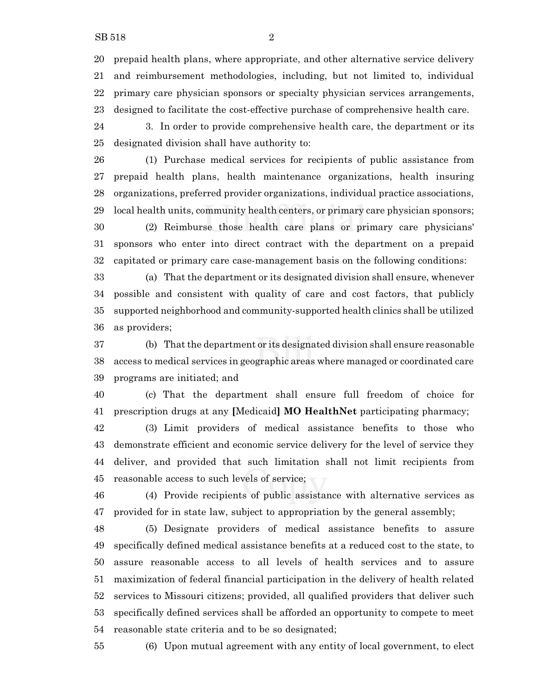prepaid health plans, where appropriate, and other alternative service delivery and reimbursement methodologies, including, but not limited to, individual primary care physician sponsors or specialty physician services arrangements, designed to facilitate the cost-effective purchase of comprehensive health care.

 3. In order to provide comprehensive health care, the department or its designated division shall have authority to:

 (1) Purchase medical services for recipients of public assistance from prepaid health plans, health maintenance organizations, health insuring organizations, preferred provider organizations, individual practice associations, local health units, community health centers, or primary care physician sponsors;

 (2) Reimburse those health care plans or primary care physicians' sponsors who enter into direct contract with the department on a prepaid capitated or primary care case-management basis on the following conditions:

 (a) That the department or its designated division shall ensure, whenever possible and consistent with quality of care and cost factors, that publicly supported neighborhood and community-supported health clinics shall be utilized as providers;

 (b) That the department or its designated division shall ensure reasonable access to medical services in geographic areas where managed or coordinated care programs are initiated; and

 (c) That the department shall ensure full freedom of choice for prescription drugs at any **[**Medicaid**] MO HealthNet** participating pharmacy;

 (3) Limit providers of medical assistance benefits to those who demonstrate efficient and economic service delivery for the level of service they deliver, and provided that such limitation shall not limit recipients from reasonable access to such levels of service;

 (4) Provide recipients of public assistance with alternative services as provided for in state law, subject to appropriation by the general assembly;

 (5) Designate providers of medical assistance benefits to assure specifically defined medical assistance benefits at a reduced cost to the state, to assure reasonable access to all levels of health services and to assure maximization of federal financial participation in the delivery of health related services to Missouri citizens; provided, all qualified providers that deliver such specifically defined services shall be afforded an opportunity to compete to meet reasonable state criteria and to be so designated;

(6) Upon mutual agreement with any entity of local government, to elect